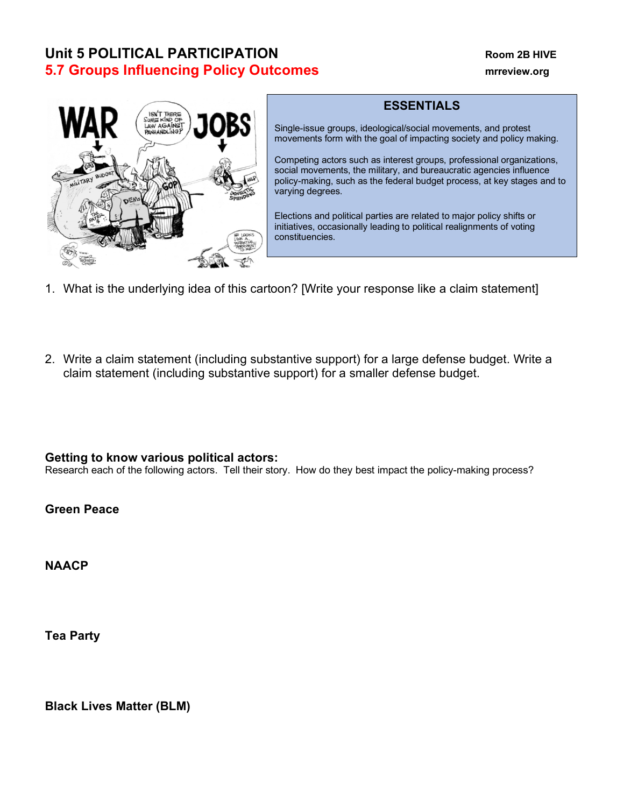## **Unit 5 POLITICAL PARTICIPATION Room 2B HIVE 5.7 Groups Influencing Policy Outcomes mrreview.org**



## **ESSENTIALS**

Single-issue groups, ideological/social movements, and protest movements form with the goal of impacting society and policy making.

Competing actors such as interest groups, professional organizations, social movements, the military, and bureaucratic agencies influence policy-making, such as the federal budget process, at key stages and to varying degrees.

Elections and political parties are related to major policy shifts or initiatives, occasionally leading to political realignments of voting constituencies.

- 1. What is the underlying idea of this cartoon? [Write your response like a claim statement]
- 2. Write a claim statement (including substantive support) for a large defense budget. Write a claim statement (including substantive support) for a smaller defense budget.

## **Getting to know various political actors:**

Research each of the following actors. Tell their story. How do they best impact the policy-making process?

**Green Peace**

**NAACP**

**Tea Party**

**Black Lives Matter (BLM)**